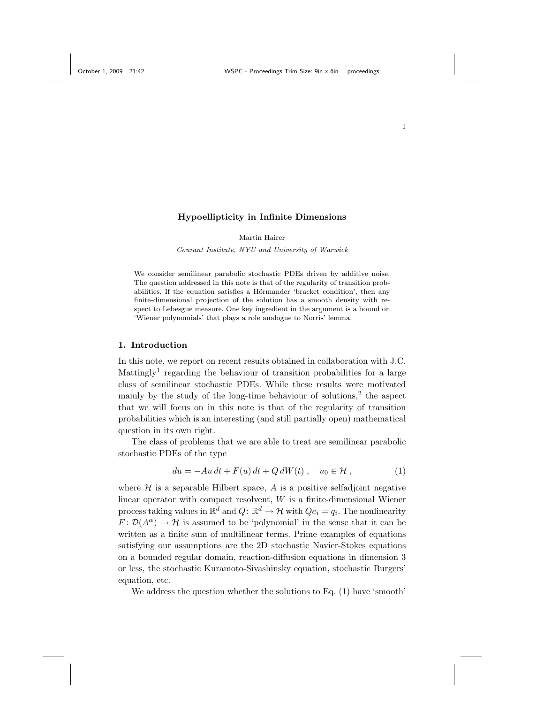## Hypoellipticity in Infinite Dimensions

Martin Hairer

Courant Institute, NYU and University of Warwick

We consider semilinear parabolic stochastic PDEs driven by additive noise. The question addressed in this note is that of the regularity of transition probabilities. If the equation satisfies a Hörmander 'bracket condition', then any finite-dimensional projection of the solution has a smooth density with respect to Lebesgue measure. One key ingredient in the argument is a bound on 'Wiener polynomials' that plays a role analogue to Norris' lemma.

## 1. Introduction

In this note, we report on recent results obtained in collaboration with J.C. Mattingly<sup>1</sup> regarding the behaviour of transition probabilities for a large class of semilinear stochastic PDEs. While these results were motivated mainly by the study of the long-time behaviour of solutions,<sup>2</sup> the aspect that we will focus on in this note is that of the regularity of transition probabilities which is an interesting (and still partially open) mathematical question in its own right.

The class of problems that we are able to treat are semilinear parabolic stochastic PDEs of the type

$$
du = -Au dt + F(u) dt + Q dW(t) , \quad u_0 \in \mathcal{H} , \qquad (1)
$$

where  $H$  is a separable Hilbert space,  $A$  is a positive selfadjoint negative linear operator with compact resolvent, W is a finite-dimensional Wiener process taking values in  $\mathbb{R}^d$  and  $Q: \mathbb{R}^d \to \mathcal{H}$  with  $Qe_i = q_i$ . The nonlinearity  $F: \mathcal{D}(A^{\alpha}) \to \mathcal{H}$  is assumed to be 'polynomial' in the sense that it can be written as a finite sum of multilinear terms. Prime examples of equations satisfying our assumptions are the 2D stochastic Navier-Stokes equations on a bounded regular domain, reaction-diffusion equations in dimension 3 or less, the stochastic Kuramoto-Sivashinsky equation, stochastic Burgers' equation, etc.

We address the question whether the solutions to Eq. (1) have 'smooth'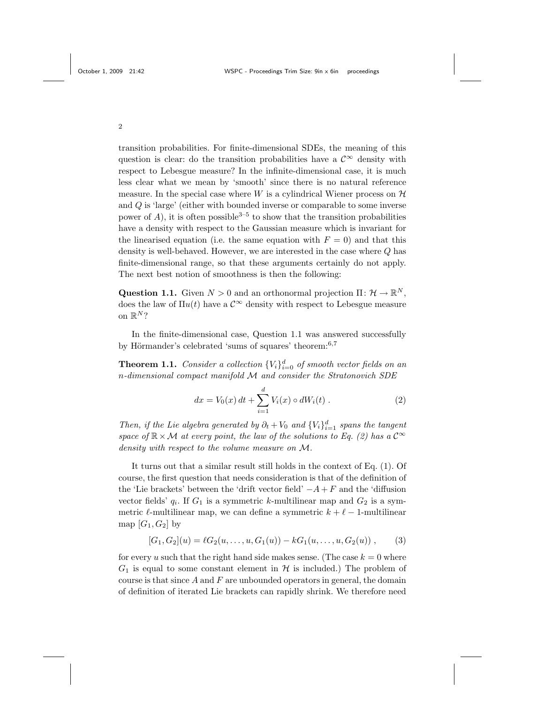transition probabilities. For finite-dimensional SDEs, the meaning of this question is clear: do the transition probabilities have a  $\mathcal{C}^{\infty}$  density with respect to Lebesgue measure? In the infinite-dimensional case, it is much less clear what we mean by 'smooth' since there is no natural reference measure. In the special case where W is a cylindrical Wiener process on  $\mathcal H$ and Q is 'large' (either with bounded inverse or comparable to some inverse power of A), it is often possible<sup>3–5</sup> to show that the transition probabilities have a density with respect to the Gaussian measure which is invariant for the linearised equation (i.e. the same equation with  $F = 0$ ) and that this density is well-behaved. However, we are interested in the case where Q has finite-dimensional range, so that these arguments certainly do not apply. The next best notion of smoothness is then the following:

Question 1.1. Given  $N > 0$  and an orthonormal projection  $\Pi: \mathcal{H} \to \mathbb{R}^N$ , does the law of  $\Pi u(t)$  have a  $\mathcal{C}^{\infty}$  density with respect to Lebesgue measure on  $\mathbb{R}^N$ ?

In the finite-dimensional case, Question 1.1 was answered successfully by Hörmander's celebrated 'sums of squares' theorem: $6,7$ 

**Theorem 1.1.** Consider a collection  ${V_i}_{i=0}^d$  of smooth vector fields on an n-dimensional compact manifold M and consider the Stratonovich SDE

$$
dx = V_0(x) dt + \sum_{i=1}^{d} V_i(x) \circ dW_i(t) . \qquad (2)
$$

Then, if the Lie algebra generated by  $\partial_t + V_0$  and  $\{V_i\}_{i=1}^d$  spans the tangent space of  $\mathbb{R}\times\mathcal{M}$  at every point, the law of the solutions to Eq. (2) has a  $\mathcal{C}^{\infty}$ density with respect to the volume measure on M.

It turns out that a similar result still holds in the context of Eq. (1). Of course, the first question that needs consideration is that of the definition of the 'Lie brackets' between the 'drift vector field'  $-A+F$  and the 'diffusion vector fields'  $q_i$ . If  $G_1$  is a symmetric k-multilinear map and  $G_2$  is a symmetric  $\ell$ -multilinear map, we can define a symmetric  $k + \ell - 1$ -multilinear map  $[G_1, G_2]$  by

$$
[G_1, G_2](u) = \ell G_2(u, \ldots, u, G_1(u)) - k G_1(u, \ldots, u, G_2(u)), \qquad (3)
$$

for every u such that the right hand side makes sense. (The case  $k = 0$  where  $G_1$  is equal to some constant element in  $H$  is included.) The problem of course is that since  $A$  and  $F$  are unbounded operators in general, the domain of definition of iterated Lie brackets can rapidly shrink. We therefore need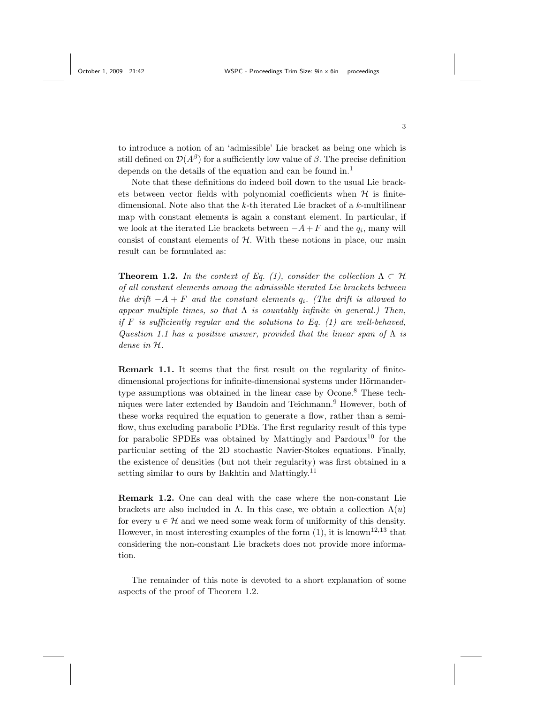to introduce a notion of an 'admissible' Lie bracket as being one which is still defined on  $\mathcal{D}(A^{\beta})$  for a sufficiently low value of  $\beta$ . The precise definition depends on the details of the equation and can be found in.<sup>1</sup>

Note that these definitions do indeed boil down to the usual Lie brackets between vector fields with polynomial coefficients when  $H$  is finitedimensional. Note also that the  $k$ -th iterated Lie bracket of a  $k$ -multilinear map with constant elements is again a constant element. In particular, if we look at the iterated Lie brackets between  $-A+F$  and the  $q_i$ , many will consist of constant elements of  $H$ . With these notions in place, our main result can be formulated as:

**Theorem 1.2.** In the context of Eq. (1), consider the collection  $\Lambda \subset \mathcal{H}$ of all constant elements among the admissible iterated Lie brackets between the drift  $-A + F$  and the constant elements  $q_i$ . (The drift is allowed to appear multiple times, so that  $\Lambda$  is countably infinite in general.) Then, if  $F$  is sufficiently regular and the solutions to Eq. (1) are well-behaved, Question 1.1 has a positive answer, provided that the linear span of  $\Lambda$  is dense in H.

Remark 1.1. It seems that the first result on the regularity of finitedimensional projections for infinite-dimensional systems under Hörmandertype assumptions was obtained in the linear case by Ocone.<sup>8</sup> These techniques were later extended by Baudoin and Teichmann.<sup>9</sup> However, both of these works required the equation to generate a flow, rather than a semiflow, thus excluding parabolic PDEs. The first regularity result of this type for parabolic SPDEs was obtained by Mattingly and Pardoux<sup>10</sup> for the particular setting of the 2D stochastic Navier-Stokes equations. Finally, the existence of densities (but not their regularity) was first obtained in a setting similar to ours by Bakhtin and Mattingly.<sup>11</sup>

Remark 1.2. One can deal with the case where the non-constant Lie brackets are also included in  $\Lambda$ . In this case, we obtain a collection  $\Lambda(u)$ for every  $u \in \mathcal{H}$  and we need some weak form of uniformity of this density. However, in most interesting examples of the form  $(1)$ , it is known<sup>12,13</sup> that considering the non-constant Lie brackets does not provide more information.

The remainder of this note is devoted to a short explanation of some aspects of the proof of Theorem 1.2.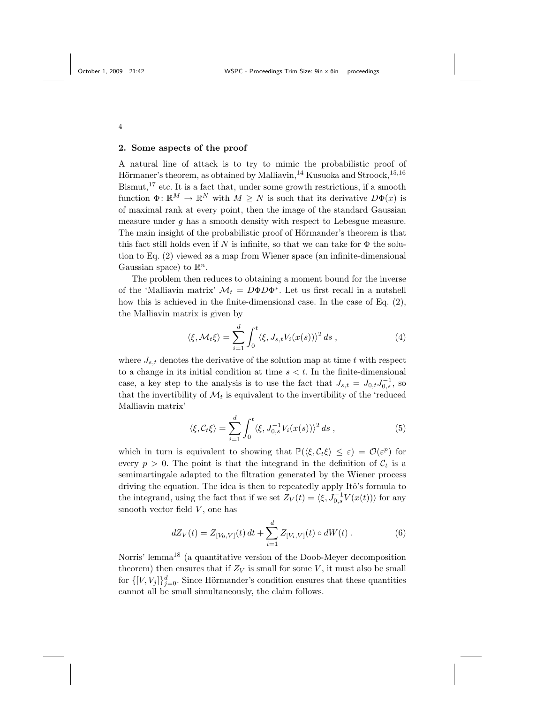## 2. Some aspects of the proof

A natural line of attack is to try to mimic the probabilistic proof of Hörmaner's theorem, as obtained by Malliavin,  $^{14}$  Kusuoka and Stroock,  $^{15,16}$  $Bismut,$ <sup>17</sup> etc. It is a fact that, under some growth restrictions, if a smooth function  $\Phi: \mathbb{R}^M \to \mathbb{R}^N$  with  $M \geq N$  is such that its derivative  $D\Phi(x)$  is of maximal rank at every point, then the image of the standard Gaussian measure under  $q$  has a smooth density with respect to Lebesgue measure. The main insight of the probabilistic proof of Hörmander's theorem is that this fact still holds even if N is infinite, so that we can take for  $\Phi$  the solution to Eq. (2) viewed as a map from Wiener space (an infinite-dimensional Gaussian space) to  $\mathbb{R}^n$ .

The problem then reduces to obtaining a moment bound for the inverse of the 'Malliavin matrix'  $\mathcal{M}_t = D\Phi D\Phi^*$ . Let us first recall in a nutshell how this is achieved in the finite-dimensional case. In the case of Eq. (2), the Malliavin matrix is given by

$$
\langle \xi, \mathcal{M}_t \xi \rangle = \sum_{i=1}^d \int_0^t \langle \xi, J_{s,t} V_i(x(s)) \rangle^2 ds , \qquad (4)
$$

where  $J_{s,t}$  denotes the derivative of the solution map at time t with respect to a change in its initial condition at time  $s < t$ . In the finite-dimensional case, a key step to the analysis is to use the fact that  $J_{s,t} = J_{0,t} J_{0,s}^{-1}$ , so that the invertibility of  $\mathcal{M}_t$  is equivalent to the invertibility of the 'reduced Malliavin matrix'

$$
\langle \xi, \mathcal{C}_t \xi \rangle = \sum_{i=1}^d \int_0^t \langle \xi, J_{0,s}^{-1} V_i(x(s)) \rangle^2 ds , \qquad (5)
$$

which in turn is equivalent to showing that  $\mathbb{P}(\langle \xi, C_t \xi \rangle \leq \varepsilon) = \mathcal{O}(\varepsilon^p)$  for every  $p > 0$ . The point is that the integrand in the definition of  $C_t$  is a semimartingale adapted to the filtration generated by the Wiener process driving the equation. The idea is then to repeatedly apply Itô's formula to the integrand, using the fact that if we set  $Z_V(t) = \langle \xi, J_{0,s}^{-1} V(x(t)) \rangle$  for any smooth vector field  $V$ , one has

$$
dZ_V(t) = Z_{[V_0, V]}(t) dt + \sum_{i=1}^d Z_{[V_i, V]}(t) \circ dW(t).
$$
 (6)

Norris' lemma<sup>18</sup> (a quantitative version of the Doob-Meyer decomposition theorem) then ensures that if  $Z_V$  is small for some V, it must also be small for  $\{[V, V_j]\}_{j=0}^d$ . Since Hörmander's condition ensures that these quantities cannot all be small simultaneously, the claim follows.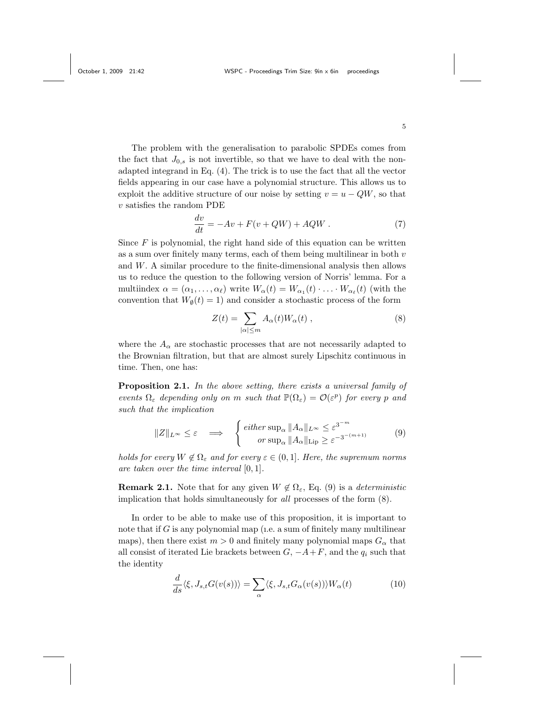The problem with the generalisation to parabolic SPDEs comes from the fact that  $J_{0,s}$  is not invertible, so that we have to deal with the nonadapted integrand in Eq. (4). The trick is to use the fact that all the vector fields appearing in our case have a polynomial structure. This allows us to exploit the additive structure of our noise by setting  $v = u - QW$ , so that  $v$  satisfies the random PDE

$$
\frac{dv}{dt} = -Av + F(v + QW) + AQW \t\t(7)
$$

Since  $F$  is polynomial, the right hand side of this equation can be written as a sum over finitely many terms, each of them being multilinear in both  $v$ and W. A similar procedure to the finite-dimensional analysis then allows us to reduce the question to the following version of Norris' lemma. For a multiindex  $\alpha = (\alpha_1, \ldots, \alpha_\ell)$  write  $W_\alpha(t) = W_{\alpha_1}(t) \cdot \ldots \cdot W_{\alpha_\ell}(t)$  (with the convention that  $W_{\emptyset}(t) = 1$  and consider a stochastic process of the form

$$
Z(t) = \sum_{|\alpha| \le m} A_{\alpha}(t) W_{\alpha}(t) , \qquad (8)
$$

where the  $A_{\alpha}$  are stochastic processes that are not necessarily adapted to the Brownian filtration, but that are almost surely Lipschitz continuous in time. Then, one has:

Proposition 2.1. In the above setting, there exists a universal family of events  $\Omega_{\varepsilon}$  depending only on m such that  $\mathbb{P}(\Omega_{\varepsilon}) = \mathcal{O}(\varepsilon^p)$  for every p and such that the implication

$$
||Z||_{L^{\infty}} \leq \varepsilon \quad \Longrightarrow \quad \begin{cases} \text{ either } \sup_{\alpha} ||A_{\alpha}||_{L^{\infty}} \leq \varepsilon^{3^{-m}} \\ \text{ or } \sup_{\alpha} ||A_{\alpha}||_{\text{Lip}} \geq \varepsilon^{-3^{-(m+1)}} \end{cases} \tag{9}
$$

holds for every  $W \notin \Omega_{\varepsilon}$  and for every  $\varepsilon \in (0,1]$ . Here, the supremum norms are taken over the time interval [0, 1].

**Remark 2.1.** Note that for any given  $W \notin \Omega_{\varepsilon}$ , Eq. (9) is a *deterministic* implication that holds simultaneously for all processes of the form (8).

In order to be able to make use of this proposition, it is important to note that if  $G$  is any polynomial map (i.e. a sum of finitely many multilinear maps), then there exist  $m > 0$  and finitely many polynomial maps  $G_{\alpha}$  that all consist of iterated Lie brackets between  $G, -A+F$ , and the  $q_i$  such that the identity

$$
\frac{d}{ds}\langle \xi, J_{s,t}G(v(s))\rangle = \sum_{\alpha} \langle \xi, J_{s,t}G_{\alpha}(v(s))\rangle W_{\alpha}(t)
$$
\n(10)